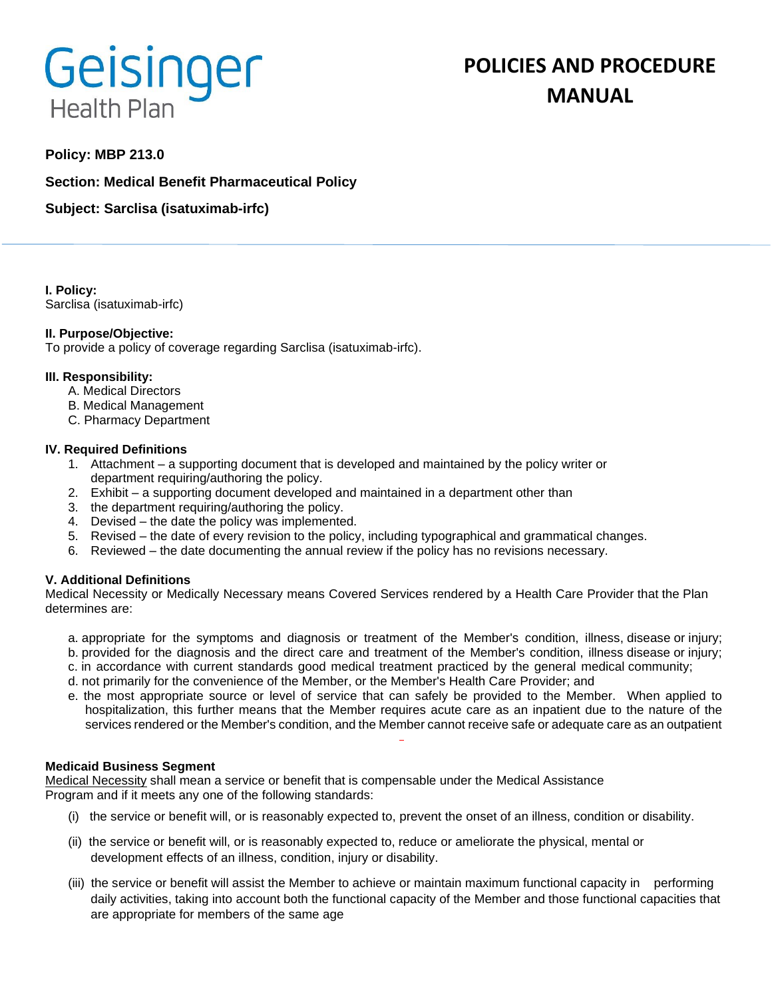# Geisinger **Health Plan**

# **POLICIES AND PROCEDURE MANUAL**

# **Policy: MBP 213.0**

**Section: Medical Benefit Pharmaceutical Policy**

**Subject: Sarclisa (isatuximab-irfc)**

**I. Policy:** Sarclisa (isatuximab-irfc)

# **II. Purpose/Objective:**

To provide a policy of coverage regarding Sarclisa (isatuximab-irfc).

#### **III. Responsibility:**

- A. Medical Directors
- B. Medical Management
- C. Pharmacy Department

#### **IV. Required Definitions**

- 1. Attachment a supporting document that is developed and maintained by the policy writer or department requiring/authoring the policy.
- 2. Exhibit a supporting document developed and maintained in a department other than
- 3. the department requiring/authoring the policy.
- 4. Devised the date the policy was implemented.
- 5. Revised the date of every revision to the policy, including typographical and grammatical changes.
- 6. Reviewed the date documenting the annual review if the policy has no revisions necessary.

# **V. Additional Definitions**

Medical Necessity or Medically Necessary means Covered Services rendered by a Health Care Provider that the Plan determines are:

- a. appropriate for the symptoms and diagnosis or treatment of the Member's condition, illness, disease or injury; b. provided for the diagnosis and the direct care and treatment of the Member's condition, illness disease or injury;
- c. in accordance with current standards good medical treatment practiced by the general medical community;
- d. not primarily for the convenience of the Member, or the Member's Health Care Provider; and
- e. the most appropriate source or level of service that can safely be provided to the Member. When applied to hospitalization, this further means that the Member requires acute care as an inpatient due to the nature of the services rendered or the Member's condition, and the Member cannot receive safe or adequate care as an outpatient

#### **Medicaid Business Segment**

Medical Necessity shall mean a service or benefit that is compensable under the Medical Assistance Program and if it meets any one of the following standards:

- (i) the service or benefit will, or is reasonably expected to, prevent the onset of an illness, condition or disability.
- (ii) the service or benefit will, or is reasonably expected to, reduce or ameliorate the physical, mental or development effects of an illness, condition, injury or disability.
- (iii) the service or benefit will assist the Member to achieve or maintain maximum functional capacity in performing daily activities, taking into account both the functional capacity of the Member and those functional capacities that are appropriate for members of the same age